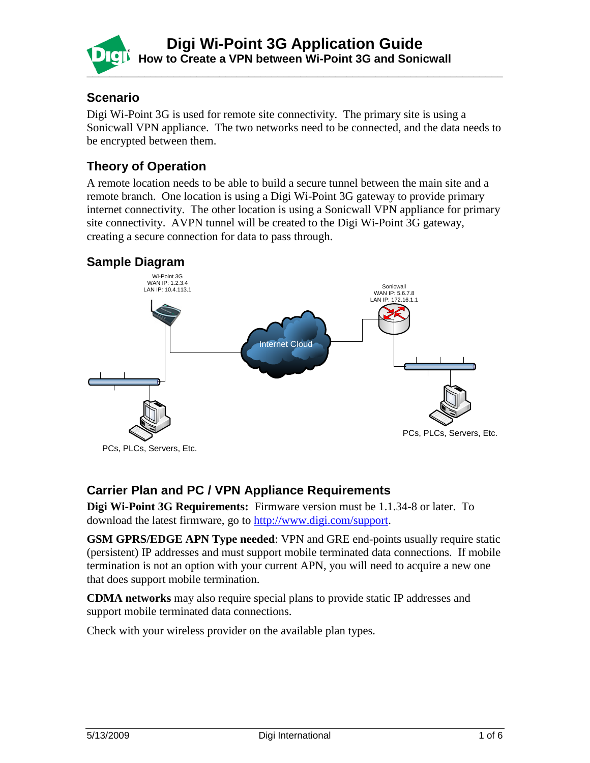

### **Scenario**

Digi Wi-Point 3G is used for remote site connectivity. The primary site is using a Sonicwall VPN appliance. The two networks need to be connected, and the data needs to be encrypted between them.

## **Theory of Operation**

A remote location needs to be able to build a secure tunnel between the main site and a remote branch. One location is using a Digi Wi-Point 3G gateway to provide primary internet connectivity. The other location is using a Sonicwall VPN appliance for primary site connectivity. AVPN tunnel will be created to the Digi Wi-Point 3G gateway, creating a secure connection for data to pass through.

## **Sample Diagram**



### **Carrier Plan and PC / VPN Appliance Requirements**

**Digi Wi-Point 3G Requirements:** Firmware version must be 1.1.34-8 or later. To download the latest firmware, go to [http://www.digi.com/support.](http://www.digi.com/support)

**GSM GPRS/EDGE APN Type needed**: VPN and GRE end-points usually require static (persistent) IP addresses and must support mobile terminated data connections. If mobile termination is not an option with your current APN, you will need to acquire a new one that does support mobile termination.

**CDMA networks** may also require special plans to provide static IP addresses and support mobile terminated data connections.

Check with your wireless provider on the available plan types.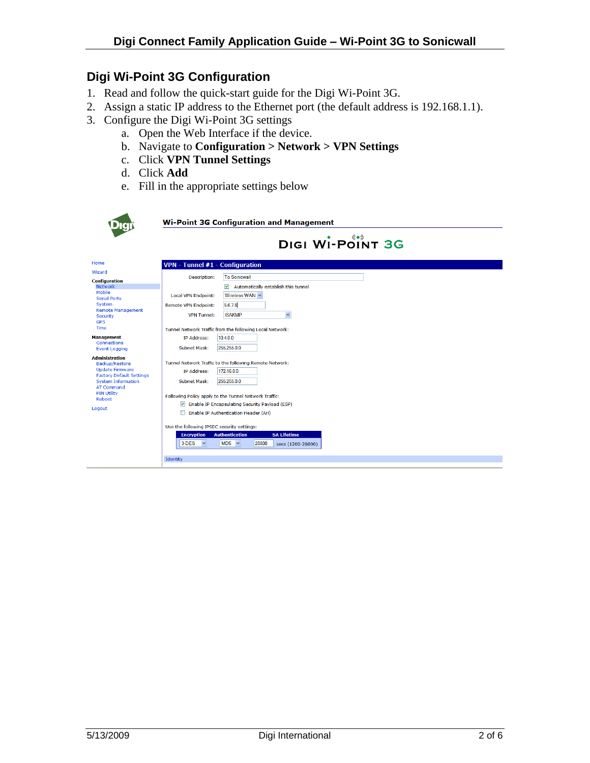# **Digi Wi-Point 3G Configuration**

- 1. Read and follow the quick-start guide for the Digi Wi-Point 3G.
- 2. Assign a static IP address to the Ethernet port (the default address is 192.168.1.1).
- 3. Configure the Digi Wi-Point 3G settings
	- a. Open the Web Interface if the device.
	- b. Navigate to **Configuration > Network > VPN Settings**
	- c. Click **VPN Tunnel Settings**
	- d. Click **Add**
	- e. Fill in the appropriate settings below

|                                                                                                                                                                                                         | <b>Wi-Point 3G Configuration and Management</b>                                                                                                                                                                                                                                                                                                                                                                                                                                         |
|---------------------------------------------------------------------------------------------------------------------------------------------------------------------------------------------------------|-----------------------------------------------------------------------------------------------------------------------------------------------------------------------------------------------------------------------------------------------------------------------------------------------------------------------------------------------------------------------------------------------------------------------------------------------------------------------------------------|
|                                                                                                                                                                                                         | DIGI WI-POINT 3G                                                                                                                                                                                                                                                                                                                                                                                                                                                                        |
| Home                                                                                                                                                                                                    | <b>VPN</b> - Tunnel #1 - Configuration                                                                                                                                                                                                                                                                                                                                                                                                                                                  |
| Wizard<br><b>Configuration</b><br>Network                                                                                                                                                               | <b>To Sonicwall</b><br><b>Description:</b><br>$\blacktriangledown$<br>Automatically establish this tunnel                                                                                                                                                                                                                                                                                                                                                                               |
| Mobile<br><b>Serial Ports</b><br>System                                                                                                                                                                 | <b>Local VPN Endpoint:</b><br>Wireless WAN<br>5.6.7.8<br><b>Remote VPN Endpoint:</b>                                                                                                                                                                                                                                                                                                                                                                                                    |
| <b>Remote Management</b><br>Security<br><b>GPS</b>                                                                                                                                                      | <b>ISAKMP</b><br>$\checkmark$<br><b>VPN Tunnel:</b>                                                                                                                                                                                                                                                                                                                                                                                                                                     |
| <b>Time</b>                                                                                                                                                                                             | Tunnel Network Traffic from the following Local Network:                                                                                                                                                                                                                                                                                                                                                                                                                                |
| <b>Management</b><br><b>Connections</b><br><b>Event Logging</b>                                                                                                                                         | <b>IP Address:</b><br>10.4.0.0<br>255,255,0.0<br><b>Subnet Mask:</b>                                                                                                                                                                                                                                                                                                                                                                                                                    |
| <b>Administration</b><br><b>Backup/Restore</b><br><b>Update Firmware</b><br><b>Factory Default Settings</b><br><b>System Information</b><br><b>AT Command</b><br><b>PIN Utility</b><br>Reboot<br>Logout | Tunnel Network Traffic to the following Remote Network:<br><b>IP Address:</b><br>172.16.0.0<br>255.255.0.0<br><b>Subnet Mask:</b><br>Following Policy apply to the Tunnel Network Traffic:<br>Enable IP Encapsulating Security Payload (ESP)<br>Enable IP Authentication Header (AH)<br>Use the following IPSEC security settings:<br><b>SA Lifetime</b><br><b>Authentication</b><br><b>Encryption</b><br>3-DES<br>$MD5 \sim$<br>28800<br>$\checkmark$<br>secs (1200-28800)<br>Identity |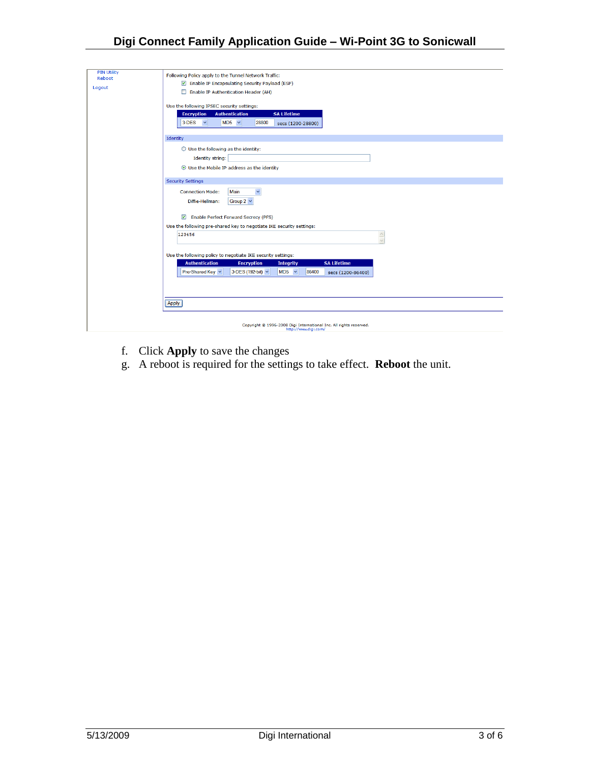### **Digi Connect Family Application Guide – Wi-Point 3G to Sonicwall**

| <b>PIN Utility</b><br>Reboot<br>Logout | Following Policy apply to the Tunnel Network Traffic:<br>Enable IP Encapsulating Security Payload (ESP)<br>Enable IP Authentication Header (AH)<br>Use the following IPSEC security settings:<br><b>SA Lifetime</b><br><b>Encryption</b><br><b>Authentication</b><br>3-DES<br>$MD5 \sim$<br>28800<br>$\checkmark$<br>secs (1200-28800) |
|----------------------------------------|----------------------------------------------------------------------------------------------------------------------------------------------------------------------------------------------------------------------------------------------------------------------------------------------------------------------------------------|
|                                        | Identity                                                                                                                                                                                                                                                                                                                               |
|                                        | $\bigcirc$ Use the following as the identity:<br><b>Identity string:</b><br>⊙ Use the Mobile IP address as the identity                                                                                                                                                                                                                |
|                                        | <b>Security Settings</b>                                                                                                                                                                                                                                                                                                               |
|                                        | $\checkmark$<br>Main<br><b>Connection Mode:</b><br>Diffie-Hellman:<br>Group $2 \vee$<br>Enable Perfect Forward Secrecy (PFS)<br>Use the following pre-shared key to negotiate IKE security settings:                                                                                                                                   |
|                                        | 123456<br>$\land$                                                                                                                                                                                                                                                                                                                      |
|                                        |                                                                                                                                                                                                                                                                                                                                        |
|                                        | Use the following policy to negotiate IKE security settings:<br><b>SA Lifetime</b><br><b>Authentication</b><br><b>Encryption</b><br><b>Integrity</b><br>3-DES (192-bit) v<br>$MD5 \sim$<br>Pre-Shared Key<br>86400<br>secs (1200-86400)                                                                                                |
|                                        | Apply                                                                                                                                                                                                                                                                                                                                  |
|                                        | Copyright @ 1996-2008 Digi International Inc. All rights reserved.<br>http://www.digi.com/                                                                                                                                                                                                                                             |

- f. Click **Apply** to save the changes
- g. A reboot is required for the settings to take effect. **Reboot** the unit.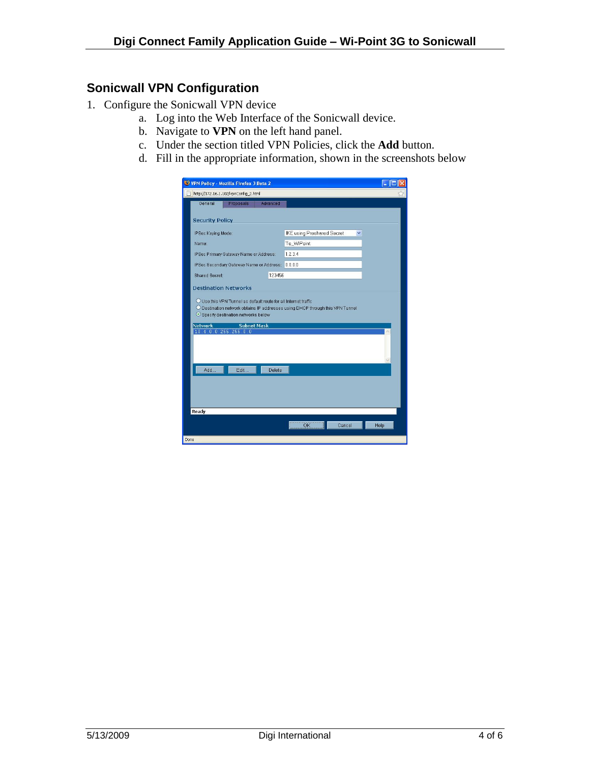### **Sonicwall VPN Configuration**

- 1. Configure the Sonicwall VPN device
	- a. Log into the Web Interface of the Sonicwall device.
	- b. Navigate to **VPN** on the left hand panel.
	- c. Under the section titled VPN Policies, click the **Add** button.
	- d. Fill in the appropriate information, shown in the screenshots below

|      | VPN Policy - Mozilla Firefox 3 Beta 2                                                                                                                                                  |                                 |      |
|------|----------------------------------------------------------------------------------------------------------------------------------------------------------------------------------------|---------------------------------|------|
|      | http://172.16.1.102/vpnConfig 2.html                                                                                                                                                   |                                 |      |
|      | General<br>Proposals<br>Advanced                                                                                                                                                       |                                 |      |
|      | <b>Security Policy</b>                                                                                                                                                                 |                                 |      |
|      | IPSec Keying Mode:                                                                                                                                                                     | IKE using Preshared Secret<br>× |      |
|      | Name:                                                                                                                                                                                  | To_WiPoint                      |      |
|      | IPSec Primary Gateway Name or Address:                                                                                                                                                 | 1.2.3.4                         |      |
|      | IPSec Secondary Gateway Name or Address:                                                                                                                                               | 0.0.0.0                         |      |
|      | 123456<br><b>Shared Secret:</b>                                                                                                                                                        |                                 |      |
|      | <b>Destination Networks</b>                                                                                                                                                            |                                 |      |
|      | O Use this VPN Tunnel as default route for all Internet traffic<br>O Destination network obtains IP addresses using DHCP through this VPN Tunnel<br>Specify destination networks below |                                 |      |
|      | <b>Network</b><br><b>Subnet Mask</b><br>10.4.0.0 255.255.0.0                                                                                                                           |                                 |      |
|      |                                                                                                                                                                                        |                                 |      |
|      | Add<br>Edit<br>Delete                                                                                                                                                                  |                                 |      |
|      |                                                                                                                                                                                        |                                 |      |
|      | Ready                                                                                                                                                                                  |                                 |      |
|      |                                                                                                                                                                                        | 0 <sub>K</sub><br>Cancel        | Help |
| Done |                                                                                                                                                                                        |                                 |      |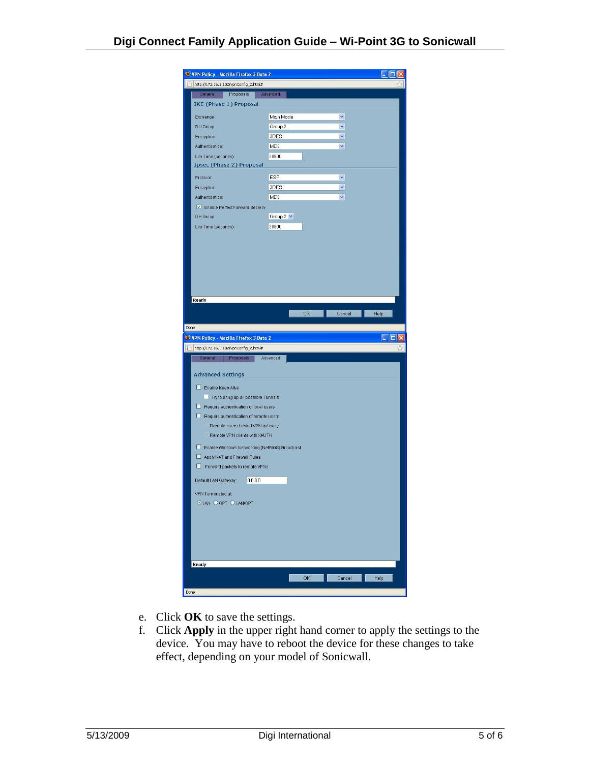| VPN Policy - Mozilla Firefox 3 Beta 2         |                 |              |      |
|-----------------------------------------------|-----------------|--------------|------|
| http://172.16.1.102/vpnConfig_2.html#         |                 |              |      |
| General<br>Proposals                          | Advanced        |              |      |
| IKE (Phase 1) Proposal                        |                 |              |      |
| Exchange:                                     | Main Mode       | $\checkmark$ |      |
| DH Group:                                     | Group 2         | Y.           |      |
| Encryption:                                   | 3DES            | $\checkmark$ |      |
| Authentication:                               | MD5             | v            |      |
| Life Time (seconds):                          | 28800           |              |      |
| <b>Ipsec (Phase 2) Proposal</b>               |                 |              |      |
| Protocol:                                     | ESP             | $\checkmark$ |      |
| Encryption:                                   | 3DES            | $\checkmark$ |      |
| Authentication:                               | MD <sub>5</sub> | $\checkmark$ |      |
| Enable Perfect Forward Secrecy                |                 |              |      |
| DH Group:                                     | Group $2 - $    |              |      |
|                                               |                 |              |      |
| Life Time (seconds):                          | 28800           |              |      |
|                                               |                 |              |      |
|                                               |                 |              |      |
|                                               |                 |              |      |
|                                               |                 |              |      |
|                                               |                 |              |      |
|                                               |                 |              |      |
|                                               |                 |              |      |
| Ready                                         |                 |              |      |
|                                               | OK              | Cancel       | Help |
|                                               |                 |              |      |
| Done                                          |                 |              |      |
|                                               |                 |              |      |
| VPN Policy - Mozilla Firefox 3 Beta 2         |                 |              |      |
| http://172.16.1.102/vpnConfig_2.html#         |                 |              |      |
| General<br>Proposals                          | Advanced        |              |      |
|                                               |                 |              |      |
| <b>Advanced Settings</b>                      |                 |              |      |
| Enable Keep Alive                             |                 |              |      |
| Try to bring up all possible Tunnels          |                 |              |      |
| Require authentication of local users         |                 |              |      |
| Require authentication of remote users        |                 |              |      |
| Remote users behind VPN gateway               |                 |              |      |
| Remote VPN clients with XAUTH                 |                 |              |      |
| Enable Windows Networking (NetBIOS) Broadcast |                 |              |      |
|                                               |                 |              |      |
| Apply NAT and Firewall Rules<br>U             |                 |              |      |
| Forward packets to remote VPNs                |                 |              |      |
| 0.0.0.0<br>Default LAN Gateway:               |                 |              |      |
| VPN Terminated at:                            |                 |              |      |
| OLAN OOPT OLAN/OPT                            |                 |              |      |
|                                               |                 |              |      |
|                                               |                 |              |      |
|                                               |                 |              |      |
|                                               |                 |              |      |
|                                               |                 |              |      |
|                                               |                 |              |      |
| Ready                                         |                 |              |      |
|                                               | <b>OK</b>       | Cancel       | Help |

- e. Click **OK** to save the settings.
- f. Click **Apply** in the upper right hand corner to apply the settings to the device. You may have to reboot the device for these changes to take effect, depending on your model of Sonicwall.